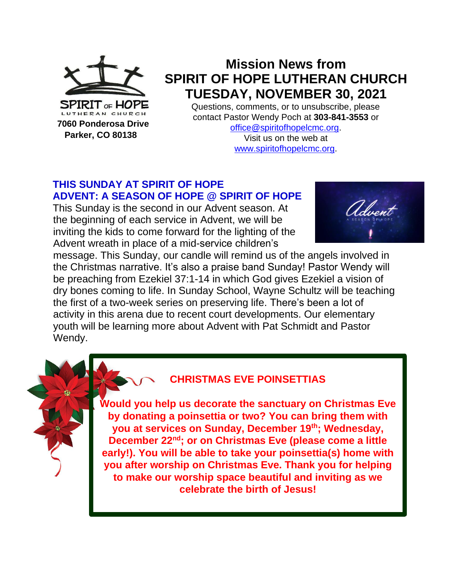

 **Parker, CO 80138**

# **Mission News from SPIRIT OF HOPE LUTHERAN CHURCH TUESDAY, NOVEMBER 30, 2021**

Questions, comments, or to unsubscribe, please contact Pastor Wendy Poch at **303-841-3553** or [office@spiritofhopelcmc.org.](mailto:office@spiritofhopelcmc.org)

Visit us on the web at [www.spiritofhopelcmc.org.](http://www.spiritofhopelcmc.org/)

# **THIS SUNDAY AT SPIRIT OF HOPE ADVENT: A SEASON OF HOPE @ SPIRIT OF HOPE**

This Sunday is the second in our Advent season. At the beginning of each service in Advent, we will be inviting the kids to come forward for the lighting of the Advent wreath in place of a mid-service children's



message. This Sunday, our candle will remind us of the angels involved in the Christmas narrative. It's also a praise band Sunday! Pastor Wendy will be preaching from Ezekiel 37:1-14 in which God gives Ezekiel a vision of dry bones coming to life. In Sunday School, Wayne Schultz will be teaching the first of a two-week series on preserving life. There's been a lot of activity in this arena due to recent court developments. Our elementary youth will be learning more about Advent with Pat Schmidt and Pastor Wendy.



### **CHRISTMAS EVE POINSETTIAS**

**Would you help us decorate the sanctuary on Christmas Eve by donating a poinsettia or two? You can bring them with you at services on Sunday, December 19th; Wednesday, December 22nd; or on Christmas Eve (please come a little early!). You will be able to take your poinsettia(s) home with you after worship on Christmas Eve. Thank you for helping to make our worship space beautiful and inviting as we celebrate the birth of Jesus!**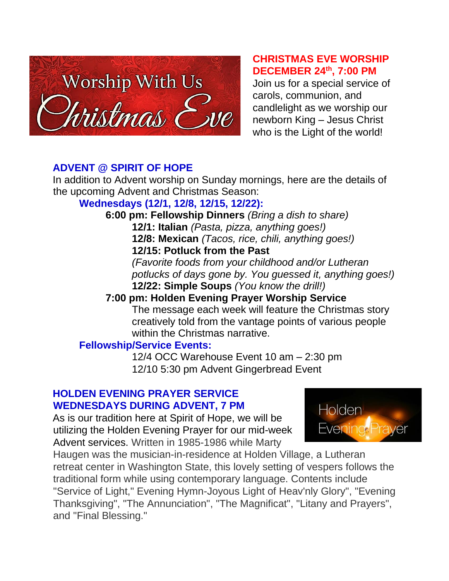

#### **CHRISTMAS EVE WORSHIP DECEMBER 24th, 7:00 PM**

Join us for a special service of carols, communion, and candlelight as we worship our newborn King – Jesus Christ who is the Light of the world!

## **ADVENT @ SPIRIT OF HOPE**

In addition to Advent worship on Sunday mornings, here are the details of the upcoming Advent and Christmas Season:

# **Wednesdays (12/1, 12/8, 12/15, 12/22):**

**6:00 pm: Fellowship Dinners** *(Bring a dish to share)* **12/1: Italian** *(Pasta, pizza, anything goes!)* **12/8: Mexican** *(Tacos, rice, chili, anything goes!)* **12/15: Potluck from the Past** *(Favorite foods from your childhood and/or Lutheran potlucks of days gone by. You guessed it, anything goes!)* **12/22: Simple Soups** *(You know the drill!)*

# **7:00 pm: Holden Evening Prayer Worship Service**

The message each week will feature the Christmas story creatively told from the vantage points of various people within the Christmas narrative.

# **Fellowship/Service Events:**

12/4 OCC Warehouse Event 10 am – 2:30 pm 12/10 5:30 pm Advent Gingerbread Event

### **HOLDEN EVENING PRAYER SERVICE WEDNESDAYS DURING ADVENT, 7 PM**

As is our tradition here at Spirit of Hope, we will be utilizing the Holden Evening Prayer for our mid-week Advent services. Written in 1985-1986 while Marty



Haugen was the musician-in-residence at Holden Village, a Lutheran retreat center in Washington State, this lovely setting of vespers follows the traditional form while using contemporary language. Contents include "Service of Light," Evening Hymn-Joyous Light of Heav'nly Glory", "Evening Thanksgiving", "The Annunciation", "The Magnificat", "Litany and Prayers", and "Final Blessing."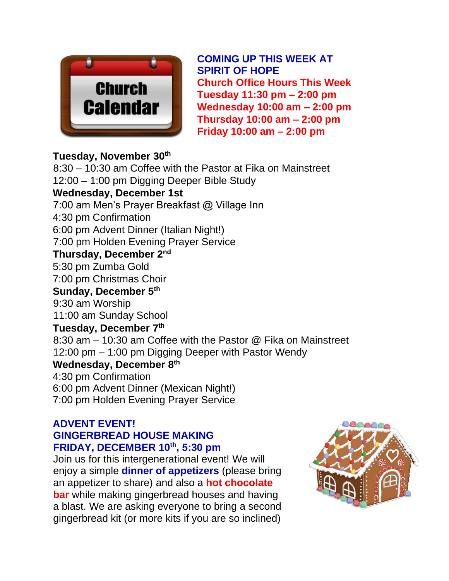

**COMING UP THIS WEEK AT SPIRIT OF HOPE Church Office Hours This Week Tuesday 11:30 pm – 2:00 pm Wednesday 10:00 am – 2:00 pm Thursday 10:00 am – 2:00 pm Friday 10:00 am – 2:00 pm**

### **Tuesday, November 30th**

8:30 – 10:30 am Coffee with the Pastor at Fika on Mainstreet 12:00 – 1:00 pm Digging Deeper Bible Study **Wednesday, December 1st**  7:00 am Men's Prayer Breakfast @ Village Inn 4:30 pm Confirmation 6:00 pm Advent Dinner (Italian Night!) 7:00 pm Holden Evening Prayer Service **Thursday, December 2nd** 5:30 pm Zumba Gold 7:00 pm Christmas Choir **Sunday, December 5th** 9:30 am Worship 11:00 am Sunday School **Tuesday, December 7th** 8:30 am – 10:30 am Coffee with the Pastor @ Fika on Mainstreet 12:00 pm – 1:00 pm Digging Deeper with Pastor Wendy **Wednesday, December 8 th** 4:30 pm Confirmation 6:00 pm Advent Dinner (Mexican Night!) 7:00 pm Holden Evening Prayer Service

#### **ADVENT EVENT! GINGERBREAD HOUSE MAKING FRIDAY, DECEMBER 10th, 5:30 pm**

Join us for this intergenerational event! We will enjoy a simple **dinner of appetizers** (please bring an appetizer to share) and also a **hot chocolate bar** while making gingerbread houses and having a blast. We are asking everyone to bring a second gingerbread kit (or more kits if you are so inclined)

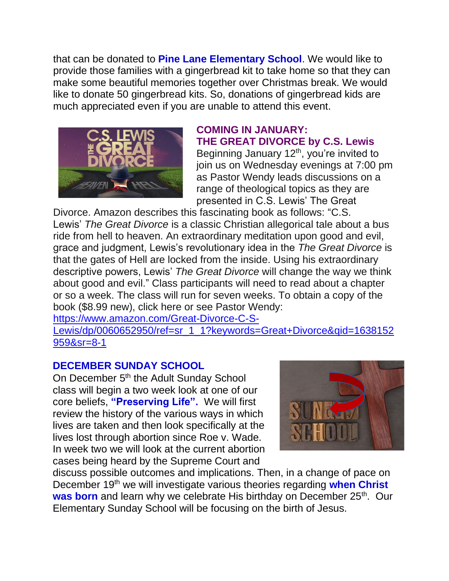that can be donated to **Pine Lane Elementary School**. We would like to provide those families with a gingerbread kit to take home so that they can make some beautiful memories together over Christmas break. We would like to donate 50 gingerbread kits. So, donations of gingerbread kids are much appreciated even if you are unable to attend this event.



## **COMING IN JANUARY: THE GREAT DIVORCE by C.S. Lewis**

Beginning January  $12<sup>th</sup>$ , you're invited to join us on Wednesday evenings at 7:00 pm as Pastor Wendy leads discussions on a range of theological topics as they are presented in C.S. Lewis' The Great

Divorce. Amazon describes this fascinating book as follows: "C.S. Lewis' *The Great Divorce* is a classic Christian allegorical tale about a bus ride from hell to heaven. An extraordinary meditation upon good and evil, grace and judgment, Lewis's revolutionary idea in the *The Great Divorce* is that the gates of Hell are locked from the inside. Using his extraordinary descriptive powers, Lewis' *The Great Divorce* will change the way we think about good and evil." Class participants will need to read about a chapter or so a week. The class will run for seven weeks. To obtain a copy of the book (\$8.99 new), click here or see Pastor Wendy:

[https://www.amazon.com/Great-Divorce-C-S-](https://www.amazon.com/Great-Divorce-C-S-Lewis/dp/0060652950/ref=sr_1_1?keywords=Great+Divorce&qid=1638152959&sr=8-1)

[Lewis/dp/0060652950/ref=sr\\_1\\_1?keywords=Great+Divorce&qid=1638152](https://www.amazon.com/Great-Divorce-C-S-Lewis/dp/0060652950/ref=sr_1_1?keywords=Great+Divorce&qid=1638152959&sr=8-1) [959&sr=8-1](https://www.amazon.com/Great-Divorce-C-S-Lewis/dp/0060652950/ref=sr_1_1?keywords=Great+Divorce&qid=1638152959&sr=8-1)

### **DECEMBER SUNDAY SCHOOL**

On December 5<sup>th</sup> the Adult Sunday School class will begin a two week look at one of our core beliefs, **"Preserving Life".** We will first review the history of the various ways in which lives are taken and then look specifically at the lives lost through abortion since Roe v. Wade. In week two we will look at the current abortion cases being heard by the Supreme Court and



discuss possible outcomes and implications. Then, in a change of pace on December 19th we will investigate various theories regarding **when Christ**  was born and learn why we celebrate His birthday on December 25<sup>th</sup>. Our Elementary Sunday School will be focusing on the birth of Jesus.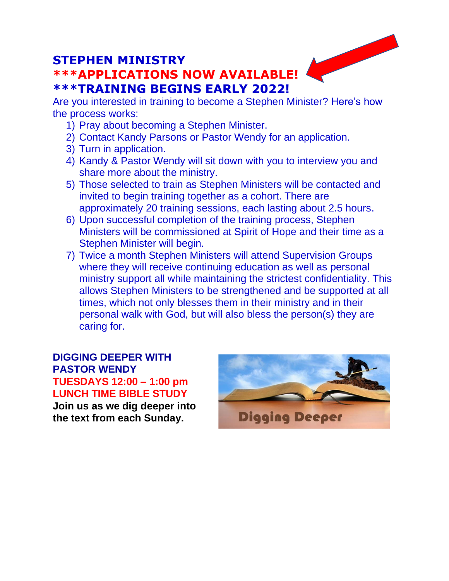# **STEPHEN MINISTRY \*\*\*APPLICATIONS NOW AVAILABLE! \*\*\*TRAINING BEGINS EARLY 2022!**

Are you interested in training to become a Stephen Minister? Here's how the process works:

- 1) Pray about becoming a Stephen Minister.
- 2) Contact Kandy Parsons or Pastor Wendy for an application.
- 3) Turn in application.
- 4) Kandy & Pastor Wendy will sit down with you to interview you and share more about the ministry.
- 5) Those selected to train as Stephen Ministers will be contacted and invited to begin training together as a cohort. There are approximately 20 training sessions, each lasting about 2.5 hours.
- 6) Upon successful completion of the training process, Stephen Ministers will be commissioned at Spirit of Hope and their time as a Stephen Minister will begin.
- 7) Twice a month Stephen Ministers will attend Supervision Groups where they will receive continuing education as well as personal ministry support all while maintaining the strictest confidentiality. This allows Stephen Ministers to be strengthened and be supported at all times, which not only blesses them in their ministry and in their personal walk with God, but will also bless the person(s) they are caring for.

**DIGGING DEEPER WITH PASTOR WENDY TUESDAYS 12:00 – 1:00 pm LUNCH TIME BIBLE STUDY Join us as we dig deeper into the text from each Sunday.**

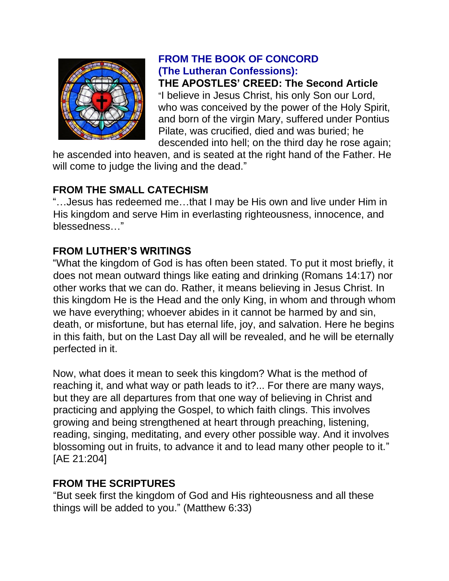

# **FROM THE BOOK OF CONCORD (The Lutheran Confessions):**

**THE APOSTLES' CREED: The Second Article** "I believe in Jesus Christ, his only Son our Lord, who was conceived by the power of the Holy Spirit, and born of the virgin Mary, suffered under Pontius Pilate, was crucified, died and was buried; he descended into hell; on the third day he rose again;

he ascended into heaven, and is seated at the right hand of the Father. He will come to judge the living and the dead."

# **FROM THE SMALL CATECHISM**

"…Jesus has redeemed me…that I may be His own and live under Him in His kingdom and serve Him in everlasting righteousness, innocence, and blessedness…"

# **FROM LUTHER'S WRITINGS**

"What the kingdom of God is has often been stated. To put it most briefly, it does not mean outward things like eating and drinking (Romans 14:17) nor other works that we can do. Rather, it means believing in Jesus Christ. In this kingdom He is the Head and the only King, in whom and through whom we have everything; whoever abides in it cannot be harmed by and sin, death, or misfortune, but has eternal life, joy, and salvation. Here he begins in this faith, but on the Last Day all will be revealed, and he will be eternally perfected in it.

Now, what does it mean to seek this kingdom? What is the method of reaching it, and what way or path leads to it?... For there are many ways, but they are all departures from that one way of believing in Christ and practicing and applying the Gospel, to which faith clings. This involves growing and being strengthened at heart through preaching, listening, reading, singing, meditating, and every other possible way. And it involves blossoming out in fruits, to advance it and to lead many other people to it." [AE 21:204]

### **FROM THE SCRIPTURES**

"But seek first the kingdom of God and His righteousness and all these things will be added to you." (Matthew 6:33)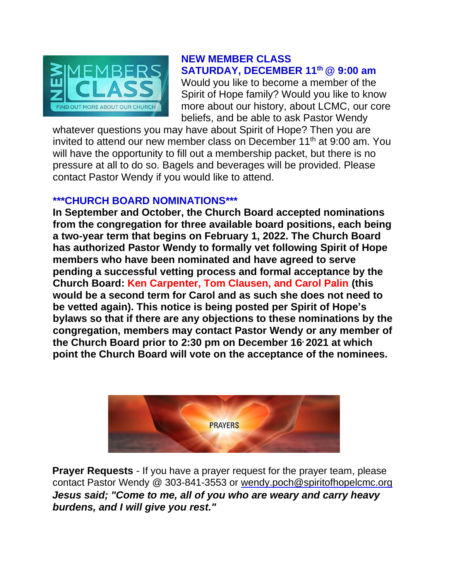

#### **NEW MEMBER CLASS SATURDAY, DECEMBER 11th @ 9:00 am**

Would you like to become a member of the Spirit of Hope family? Would you like to know more about our history, about LCMC, our core beliefs, and be able to ask Pastor Wendy

whatever questions you may have about Spirit of Hope? Then you are invited to attend our new member class on December 11<sup>th</sup> at 9:00 am. You will have the opportunity to fill out a membership packet, but there is no pressure at all to do so. Bagels and beverages will be provided. Please contact Pastor Wendy if you would like to attend.

#### **\*\*\*CHURCH BOARD NOMINATIONS\*\*\***

**In September and October, the Church Board accepted nominations from the congregation for three available board positions, each being a two-year term that begins on February 1, 2022. The Church Board has authorized Pastor Wendy to formally vet following Spirit of Hope members who have been nominated and have agreed to serve pending a successful vetting process and formal acceptance by the Church Board: Ken Carpenter, Tom Clausen, and Carol Palin (this would be a second term for Carol and as such she does not need to be vetted again). This notice is being posted per Spirit of Hope's bylaws so that if there are any objections to these nominations by the congregation, members may contact Pastor Wendy or any member of the Church Board prior to 2:30 pm on December 16, 2021 at which point the Church Board will vote on the acceptance of the nominees.**



**Prayer Requests** - If you have a prayer request for the prayer team, please contact Pastor Wendy @ 303-841-3553 or wendy.poch@spiritofhopelcmc.org *Jesus said; "Come to me, all of you who are weary and carry heavy burdens, and I will give you rest."*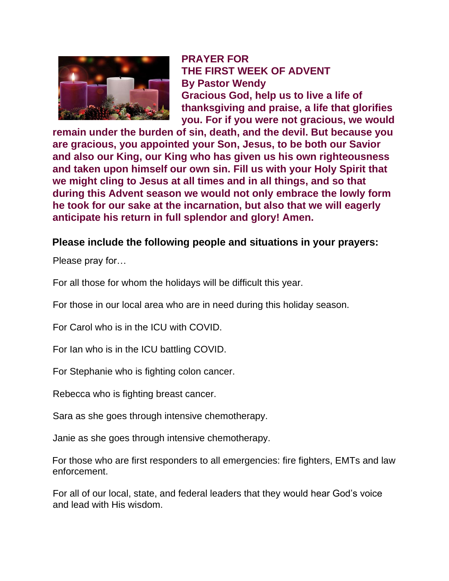

**PRAYER FOR THE FIRST WEEK OF ADVENT By Pastor Wendy Gracious God, help us to live a life of thanksgiving and praise, a life that glorifies you. For if you were not gracious, we would** 

**remain under the burden of sin, death, and the devil. But because you are gracious, you appointed your Son, Jesus, to be both our Savior and also our King, our King who has given us his own righteousness and taken upon himself our own sin. Fill us with your Holy Spirit that we might cling to Jesus at all times and in all things, and so that during this Advent season we would not only embrace the lowly form he took for our sake at the incarnation, but also that we will eagerly anticipate his return in full splendor and glory! Amen.**

#### **Please include the following people and situations in your prayers:**

Please pray for…

For all those for whom the holidays will be difficult this year.

For those in our local area who are in need during this holiday season.

For Carol who is in the ICU with COVID.

For Ian who is in the ICU battling COVID.

For Stephanie who is fighting colon cancer.

Rebecca who is fighting breast cancer.

Sara as she goes through intensive chemotherapy.

Janie as she goes through intensive chemotherapy.

For those who are first responders to all emergencies: fire fighters, EMTs and law enforcement.

For all of our local, state, and federal leaders that they would hear God's voice and lead with His wisdom.